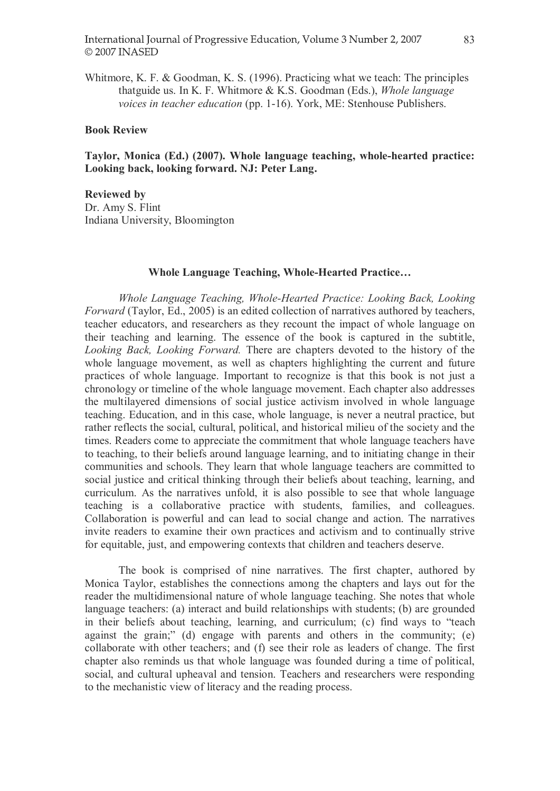Whitmore, K. F. & Goodman, K. S. (1996). Practicing what we teach: The principles thatguide us. In K. F. Whitmore & K.S. Goodman (Eds.), Whole language voices in teacher education (pp. 1-16). York, ME: Stenhouse Publishers.

## Book Review

Taylor, Monica (Ed.) (2007). Whole language teaching, whole-hearted practice: Looking back, looking forward. NJ: Peter Lang.

Reviewed by Dr. Amy S. Flint Indiana University, Bloomington

## Whole Language Teaching, Whole-Hearted Practice...

Whole Language Teaching, Whole-Hearted Practice: Looking Back, Looking Forward (Taylor, Ed., 2005) is an edited collection of narratives authored by teachers, teacher educators, and researchers as they recount the impact of whole language on their teaching and learning. The essence of the book is captured in the subtitle, Looking Back, Looking Forward. There are chapters devoted to the history of the whole language movement, as well as chapters highlighting the current and future practices of whole language. Important to recognize is that this book is not just a chronology or timeline of the whole language movement. Each chapter also addresses the multilayered dimensions of social justice activism involved in whole language teaching. Education, and in this case, whole language, is never a neutral practice, but rather reflects the social, cultural, political, and historical milieu of the society and the times. Readers come to appreciate the commitment that whole language teachers have to teaching, to their beliefs around language learning, and to initiating change in their communities and schools. They learn that whole language teachers are committed to social justice and critical thinking through their beliefs about teaching, learning, and curriculum. As the narratives unfold, it is also possible to see that whole language teaching is a collaborative practice with students, families, and colleagues. Collaboration is powerful and can lead to social change and action. The narratives invite readers to examine their own practices and activism and to continually strive for equitable, just, and empowering contexts that children and teachers deserve.

The book is comprised of nine narratives. The first chapter, authored by Monica Taylor, establishes the connections among the chapters and lays out for the reader the multidimensional nature of whole language teaching. She notes that whole language teachers: (a) interact and build relationships with students; (b) are grounded in their beliefs about teaching, learning, and curriculum; (c) find ways to "teach against the grain;" (d) engage with parents and others in the community; (e) collaborate with other teachers; and (f) see their role as leaders of change. The first chapter also reminds us that whole language was founded during a time of political, social, and cultural upheaval and tension. Teachers and researchers were responding to the mechanistic view of literacy and the reading process.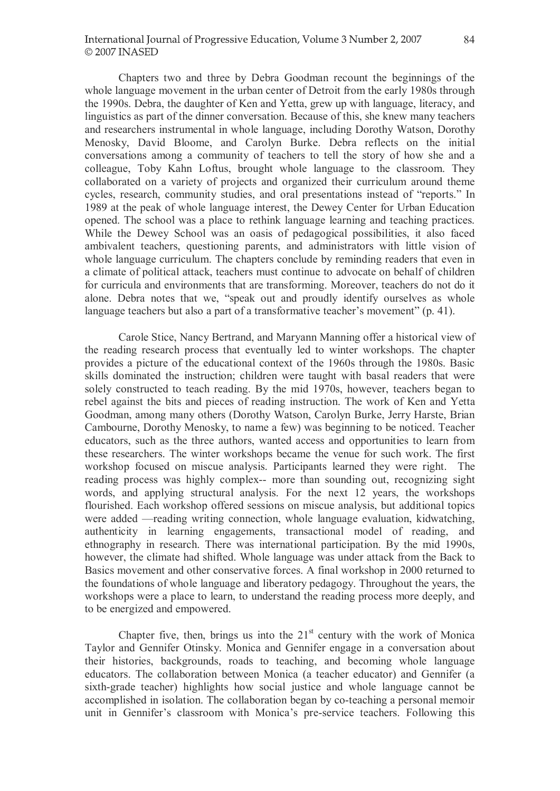Chapters two and three by Debra Goodman recount the beginnings of the whole language movement in the urban center of Detroit from the early 1980s through the 1990s. Debra, the daughter of Ken and Yetta, grew up with language, literacy, and linguistics as part of the dinner conversation. Because of this, she knew many teachers and researchers instrumental in whole language, including Dorothy Watson, Dorothy Menosky, David Bloome, and Carolyn Burke. Debra reflects on the initial conversations among a community of teachers to tell the story of how she and a colleague, Toby Kahn Loftus, brought whole language to the classroom. They collaborated on a variety of projects and organized their curriculum around theme cycles, research, community studies, and oral presentations instead of "reports." In 1989 at the peak of whole language interest, the Dewey Center for Urban Education opened. The school was a place to rethink language learning and teaching practices. While the Dewey School was an oasis of pedagogical possibilities, it also faced ambivalent teachers, questioning parents, and administrators with little vision of whole language curriculum. The chapters conclude by reminding readers that even in a climate of political attack, teachers must continue to advocate on behalf of children for curricula and environments that are transforming. Moreover, teachers do not do it alone. Debra notes that we, "speak out and proudly identify ourselves as whole language teachers but also a part of a transformative teacher's movement"  $(p, 41)$ .

Carole Stice, Nancy Bertrand, and Maryann Manning offer a historical view of the reading research process that eventually led to winter workshops. The chapter provides a picture of the educational context of the 1960s through the 1980s. Basic skills dominated the instruction; children were taught with basal readers that were solely constructed to teach reading. By the mid 1970s, however, teachers began to rebel against the bits and pieces of reading instruction. The work of Ken and Yetta Goodman, among many others (Dorothy Watson, Carolyn Burke, Jerry Harste, Brian Cambourne, Dorothy Menosky, to name a few) was beginning to be noticed. Teacher educators, such as the three authors, wanted access and opportunities to learn from these researchers. The winter workshops became the venue for such work. The first workshop focused on miscue analysis. Participants learned they were right. The reading process was highly complex-- more than sounding out, recognizing sight words, and applying structural analysis. For the next 12 years, the workshops flourished. Each workshop offered sessions on miscue analysis, but additional topics were added —reading writing connection, whole language evaluation, kidwatching, authenticity in learning engagements, transactional model of reading, and ethnography in research. There was international participation. By the mid 1990s, however, the climate had shifted. Whole language was under attack from the Back to Basics movement and other conservative forces. A final workshop in 2000 returned to the foundations of whole language and liberatory pedagogy. Throughout the years, the workshops were a place to learn, to understand the reading process more deeply, and to be energized and empowered.

Chapter five, then, brings us into the  $21<sup>st</sup>$  century with the work of Monica Taylor and Gennifer Otinsky. Monica and Gennifer engage in a conversation about their histories, backgrounds, roads to teaching, and becoming whole language educators. The collaboration between Monica (a teacher educator) and Gennifer (a sixth-grade teacher) highlights how social justice and whole language cannot be accomplished in isolation. The collaboration began by co-teaching a personal memoir unit in Gennifer's classroom with Monica's pre-service teachers. Following this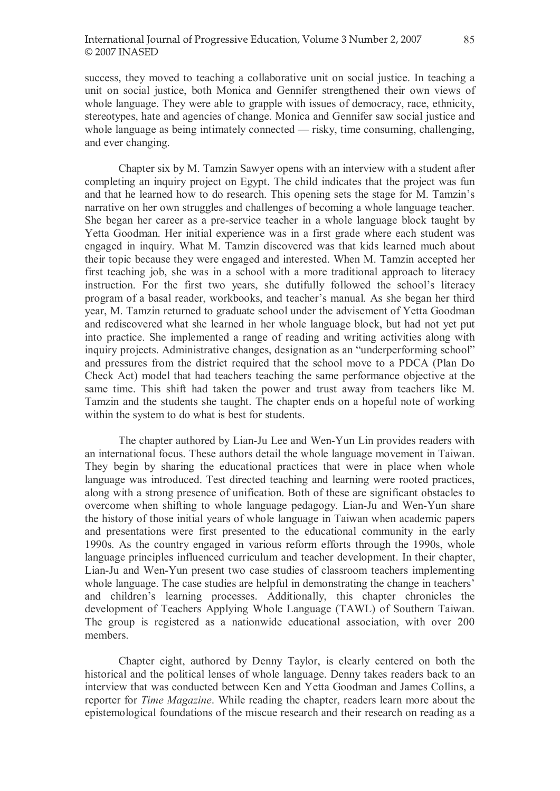success, they moved to teaching a collaborative unit on social justice. In teaching a unit on social justice, both Monica and Gennifer strengthened their own views of whole language. They were able to grapple with issues of democracy, race, ethnicity, stereotypes, hate and agencies of change. Monica and Gennifer saw social justice and whole language as being intimately connected  $-$  risky, time consuming, challenging, and ever changing.

Chapter six by M. Tamzin Sawyer opens with an interview with a student after completing an inquiry project on Egypt. The child indicates that the project was fun and that he learned how to do research. This opening sets the stage for M. Tamzin's narrative on her own struggles and challenges of becoming a whole language teacher. She began her career as a pre-service teacher in a whole language block taught by Yetta Goodman. Her initial experience was in a first grade where each student was engaged in inquiry. What M. Tamzin discovered was that kids learned much about their topic because they were engaged and interested. When M. Tamzin accepted her first teaching job, she was in a school with a more traditional approach to literacy instruction. For the first two years, she dutifully followed the school's literacy program of a basal reader, workbooks, and teacher's manual. As she began her third year, M. Tamzin returned to graduate school under the advisement of Yetta Goodman and rediscovered what she learned in her whole language block, but had not yet put into practice. She implemented a range of reading and writing activities along with inquiry projects. Administrative changes, designation as an "underperforming school" and pressures from the district required that the school move to a PDCA (Plan Do Check Act) model that had teachers teaching the same performance objective at the same time. This shift had taken the power and trust away from teachers like M. Tamzin and the students she taught. The chapter ends on a hopeful note of working within the system to do what is best for students.

The chapter authored by Lian-Ju Lee and Wen-Yun Lin provides readers with an international focus. These authors detail the whole language movement in Taiwan. They begin by sharing the educational practices that were in place when whole language was introduced. Test directed teaching and learning were rooted practices, along with a strong presence of unification. Both of these are significant obstacles to overcome when shifting to whole language pedagogy. Lian-Ju and Wen-Yun share the history of those initial years of whole language in Taiwan when academic papers and presentations were first presented to the educational community in the early 1990s. As the country engaged in various reform efforts through the 1990s, whole language principles influenced curriculum and teacher development. In their chapter, Lian-Ju and Wen-Yun present two case studies of classroom teachers implementing whole language. The case studies are helpful in demonstrating the change in teachers' and children's learning processes. Additionally, this chapter chronicles the development of Teachers Applying Whole Language (TAWL) of Southern Taiwan. The group is registered as a nationwide educational association, with over 200 members.

Chapter eight, authored by Denny Taylor, is clearly centered on both the historical and the political lenses of whole language. Denny takes readers back to an interview that was conducted between Ken and Yetta Goodman and James Collins, a reporter for Time Magazine. While reading the chapter, readers learn more about the epistemological foundations of the miscue research and their research on reading as a